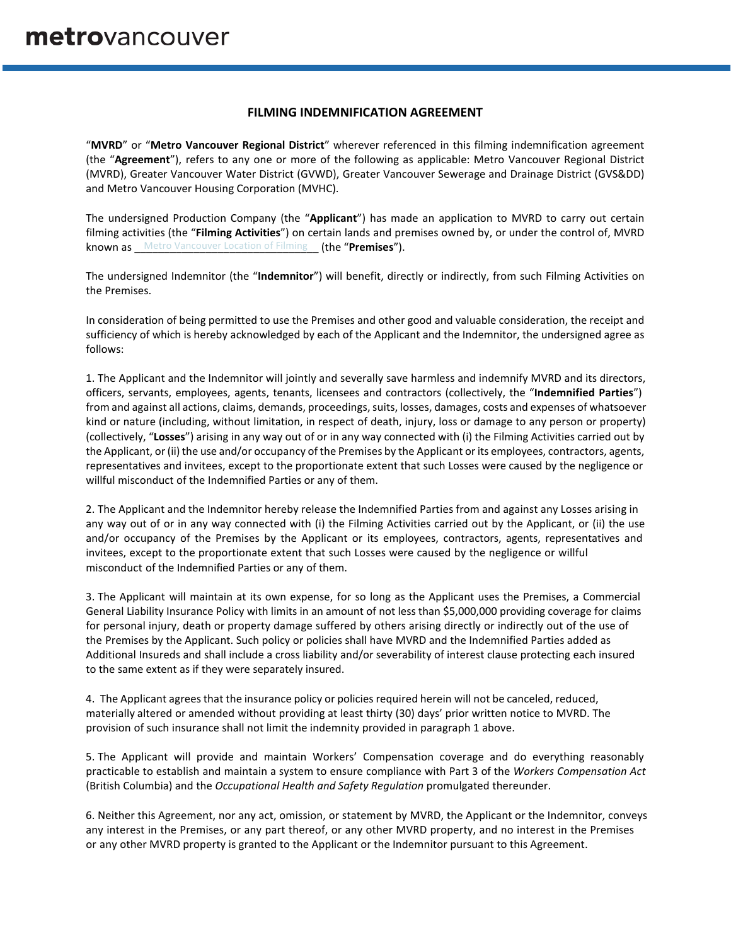## **FILMING INDEMNIFICATION AGREEMENT**

"**MVRD**" or "**Metro Vancouver Regional District**" wherever referenced in this filming indemnification agreement (the "**Agreement**"), refers to any one or more of the following as applicable: Metro Vancouver Regional District (MVRD), Greater Vancouver Water District (GVWD), Greater Vancouver Sewerage and Drainage District (GVS&DD) and Metro Vancouver Housing Corporation (MVHC).

known as <u>Metro Vancouver Location of Filming</u> (the "Premises"). The undersigned Production Company (the "**Applicant**") has made an application to MVRD to carry out certain filming activities (the "**Filming Activities**") on certain lands and premises owned by, or under the control of, MVRD

The undersigned Indemnitor (the "**Indemnitor**") will benefit, directly or indirectly, from such Filming Activities on the Premises.

In consideration of being permitted to use the Premises and other good and valuable consideration, the receipt and sufficiency of which is hereby acknowledged by each of the Applicant and the Indemnitor, the undersigned agree as follows:

1. The Applicant and the Indemnitor will jointly and severally save harmless and indemnify MVRD and its directors, officers, servants, employees, agents, tenants, licensees and contractors (collectively, the "**Indemnified Parties**") from and against all actions, claims, demands, proceedings, suits, losses, damages, costs and expenses of whatsoever kind or nature (including, without limitation, in respect of death, injury, loss or damage to any person or property) (collectively, "**Losses**") arising in any way out of or in any way connected with (i) the Filming Activities carried out by the Applicant, or (ii) the use and/or occupancy of the Premises by the Applicant or its employees, contractors, agents, representatives and invitees, except to the proportionate extent that such Losses were caused by the negligence or willful misconduct of the Indemnified Parties or any of them.

2. The Applicant and the Indemnitor hereby release the Indemnified Parties from and against any Losses arising in any way out of or in any way connected with (i) the Filming Activities carried out by the Applicant, or (ii) the use and/or occupancy of the Premises by the Applicant or its employees, contractors, agents, representatives and invitees, except to the proportionate extent that such Losses were caused by the negligence or willful misconduct of the Indemnified Parties or any of them.

3. The Applicant will maintain at its own expense, for so long as the Applicant uses the Premises, a Commercial General Liability Insurance Policy with limits in an amount of not less than \$5,000,000 providing coverage for claims for personal injury, death or property damage suffered by others arising directly or indirectly out of the use of the Premises by the Applicant. Such policy or policies shall have MVRD and the Indemnified Parties added as Additional Insureds and shall include a cross liability and/or severability of interest clause protecting each insured to the same extent as if they were separately insured.

4. The Applicant agrees that the insurance policy or policies required herein will not be canceled, reduced, materially altered or amended without providing at least thirty (30) days' prior written notice to MVRD. The provision of such insurance shall not limit the indemnity provided in paragraph 1 above.

5. The Applicant will provide and maintain Workers' Compensation coverage and do everything reasonably practicable to establish and maintain a system to ensure compliance with Part 3 of the *Workers Compensation Act* (British Columbia) and the *Occupational Health and Safety Regulation* promulgated thereunder.

6. Neither this Agreement, nor any act, omission, or statement by MVRD, the Applicant or the Indemnitor, conveys any interest in the Premises, or any part thereof, or any other MVRD property, and no interest in the Premises or any other MVRD property is granted to the Applicant or the Indemnitor pursuant to this Agreement.